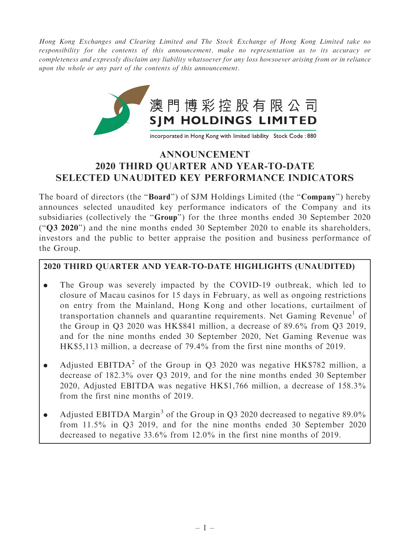Hong Kong Exchanges and Clearing Limited and The Stock Exchange of Hong Kong Limited take no responsibility for the contents of this announcement, make no representation as to its accuracy or completeness and expressly disclaim any liability whatsoever for any loss howsoever arising from or in reliance upon the whole or any part of the contents of this announcement.



# ANNOUNCEMENT 2020 THIRD QUARTER AND YEAR-TO-DATE SELECTED UNAUDITED KEY PERFORMANCE INDICATORS

The board of directors (the "**Board**") of SJM Holdings Limited (the "Company") hereby announces selected unaudited key performance indicators of the Company and its subsidiaries (collectively the ''Group'') for the three months ended 30 September 2020 (''Q3 2020'') and the nine months ended 30 September 2020 to enable its shareholders, investors and the public to better appraise the position and business performance of the Group.

# 2020 THIRD QUARTER AND YEAR-TO-DATE HIGHLIGHTS (UNAUDITED)

- . The Group was severely impacted by the COVID-19 outbreak, which led to closure of Macau casinos for 15 days in February, as well as ongoing restrictions on entry from the Mainland, Hong Kong and other locations, curtailment of transportation channels and quarantine requirements. Net Gaming Revenue<sup>1</sup> of the Group in Q3 2020 was HK\$841 million, a decrease of 89.6% from Q3 2019, and for the nine months ended 30 September 2020, Net Gaming Revenue was HK\$5,113 million, a decrease of 79.4% from the first nine months of 2019.
- Adjusted EBITDA<sup>2</sup> of the Group in O3 2020 was negative HK\$782 million, a decrease of 182.3% over Q3 2019, and for the nine months ended 30 September 2020, Adjusted EBITDA was negative HK\$1,766 million, a decrease of 158.3% from the first nine months of 2019.
- Adjusted EBITDA Margin<sup>3</sup> of the Group in Q3 2020 decreased to negative 89.0% from 11.5% in Q3 2019, and for the nine months ended 30 September 2020 decreased to negative 33.6% from 12.0% in the first nine months of 2019.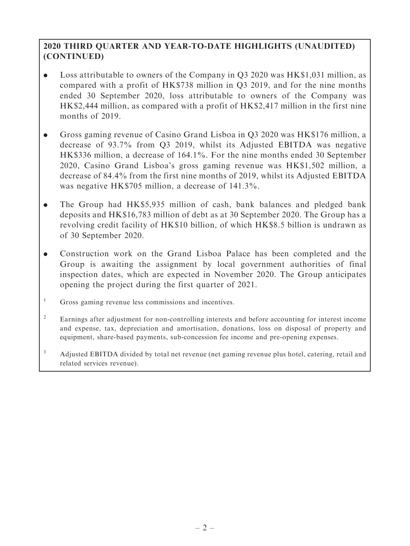## 2020 THIRD QUARTER AND YEAR-TO-DATE HIGHLIGHTS (UNAUDITED) (CONTINUED)

- . Loss attributable to owners of the Company in Q3 2020 was HK\$1,031 million, as compared with a profit of HK\$738 million in Q3 2019, and for the nine months ended 30 September 2020, loss attributable to owners of the Company was HK\$2,444 million, as compared with a profit of HK\$2,417 million in the first nine months of 2019.
- . Gross gaming revenue of Casino Grand Lisboa in Q3 2020 was HK\$176 million, a decrease of 93.7% from Q3 2019, whilst its Adjusted EBITDA was negative HK\$336 million, a decrease of 164.1%. For the nine months ended 30 September 2020, Casino Grand Lisboa's gross gaming revenue was HK\$1,502 million, a decrease of 84.4% from the first nine months of 2019, whilst its Adjusted EBITDA was negative HK\$705 million, a decrease of 141.3%.
- . The Group had HK\$5,935 million of cash, bank balances and pledged bank deposits and HK\$16,783 million of debt as at 30 September 2020. The Group has a revolving credit facility of HK\$10 billion, of which HK\$8.5 billion is undrawn as of 30 September 2020.
- . Construction work on the Grand Lisboa Palace has been completed and the Group is awaiting the assignment by local government authorities of final inspection dates, which are expected in November 2020. The Group anticipates opening the project during the first quarter of 2021.
- <sup>1</sup> Gross gaming revenue less commissions and incentives.
- <sup>2</sup> Earnings after adjustment for non-controlling interests and before accounting for interest income and expense, tax, depreciation and amortisation, donations, loss on disposal of property and equipment, share-based payments, sub-concession fee income and pre-opening expenses.
- <sup>3</sup> Adjusted EBITDA divided by total net revenue (net gaming revenue plus hotel, catering, retail and related services revenue).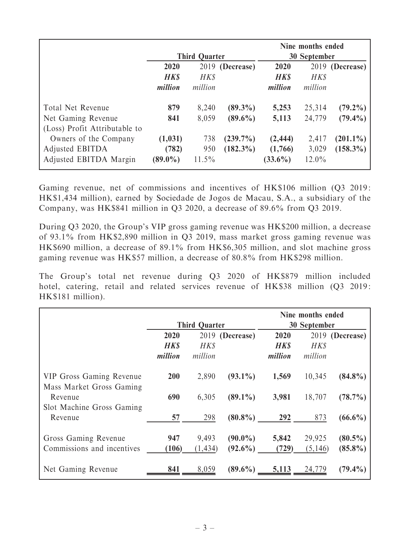|                               | <b>Third Quarter</b>    |          |             | Nine months ended<br><b>30 September</b> |          |                 |
|-------------------------------|-------------------------|----------|-------------|------------------------------------------|----------|-----------------|
|                               | 2019 (Decrease)<br>2020 |          |             | 2020                                     |          | 2019 (Decrease) |
|                               | <b>HKS</b>              | HK\$     |             | <b>HKS</b>                               | HK\$     |                 |
|                               | million                 | million  |             | million                                  | million  |                 |
| <b>Total Net Revenue</b>      | 879                     | 8,240    | $(89.3\%)$  | 5,253                                    | 25,314   | $(79.2\%)$      |
| Net Gaming Revenue            | 841                     | 8,059    | $(89.6\%)$  | 5,113                                    | 24,779   | $(79.4\%)$      |
| (Loss) Profit Attributable to |                         |          |             |                                          |          |                 |
| Owners of the Company         | (1,031)                 | 738      | $(239.7\%)$ | (2, 444)                                 | 2,417    | $(201.1\%)$     |
| Adjusted EBITDA               | (782)                   | 950      | $(182.3\%)$ | (1,766)                                  | 3,029    | $(158.3\%)$     |
| Adjusted EBITDA Margin        | $(89.0\%)$              | $11.5\%$ |             | $(33.6\%)$                               | $12.0\%$ |                 |

Gaming revenue, net of commissions and incentives of HK\$106 million (Q3 2019: HK\$1,434 million), earned by Sociedade de Jogos de Macau, S.A., a subsidiary of the Company, was HK\$841 million in Q3 2020, a decrease of 89.6% from Q3 2019.

During Q3 2020, the Group's VIP gross gaming revenue was HK\$200 million, a decrease of 93.1% from HK\$2,890 million in Q3 2019, mass market gross gaming revenue was HK\$690 million, a decrease of 89.1% from HK\$6,305 million, and slot machine gross gaming revenue was HK\$57 million, a decrease of 80.8% from HK\$298 million.

The Group's total net revenue during Q3 2020 of HK\$879 million included hotel, catering, retail and related services revenue of HK\$38 million (Q3 2019: HK\$181 million).

|                                                             |                      |          |                 | Nine months ended |         |                 |
|-------------------------------------------------------------|----------------------|----------|-----------------|-------------------|---------|-----------------|
|                                                             | <b>Third Quarter</b> |          |                 | 30 September      |         |                 |
|                                                             | 2020                 |          | 2019 (Decrease) | 2020              |         | 2019 (Decrease) |
|                                                             | <b>HKS</b>           | HK\$     |                 | <b>HKS</b>        | HK\$    |                 |
|                                                             | million              | million  |                 | million           | million |                 |
| <b>VIP Gross Gaming Revenue</b><br>Mass Market Gross Gaming | 200                  | 2,890    | $(93.1\%)$      | 1,569             | 10,345  | $(84.8\%)$      |
| Revenue                                                     | 690                  | 6,305    | $(89.1\%)$      | 3,981             | 18,707  | $(78.7\%)$      |
| Slot Machine Gross Gaming                                   |                      |          |                 |                   |         |                 |
| Revenue                                                     | 57                   | 298      | $(80.8\%)$      | 292               | 873     | $(66.6\%)$      |
| Gross Gaming Revenue                                        | 947                  | 9,493    | $(90.0\%)$      | 5,842             | 29,925  | $(80.5\%)$      |
| Commissions and incentives                                  | (106)                | (1, 434) | $(92.6\%)$      | (729)             | (5,146) | $(85.8\%)$      |
| Net Gaming Revenue                                          | 841                  | 8,059    | $(89.6\%)$      | 5,113             | 24,779  | $(79.4\%)$      |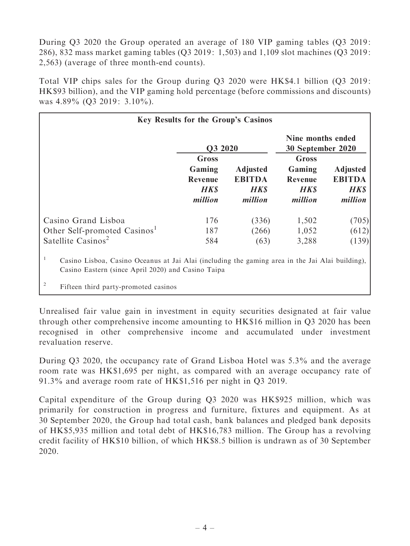During Q3 2020 the Group operated an average of 180 VIP gaming tables (Q3 2019: 286), 832 mass market gaming tables (Q3 2019 : 1,503) and 1,109 slot machines (Q3 2019: 2,563) (average of three month-end counts).

Total VIP chips sales for the Group during Q3 2020 were HK\$4.1 billion (Q3 2019: HK\$93 billion), and the VIP gaming hold percentage (before commissions and discounts) was 4.89% (Q3 2019: 3.10%).

| <b>Key Results for the Group's Casinos</b>                                                                                                                                                         |                                                      |                                                           |                                                     |                                                            |  |  |  |
|----------------------------------------------------------------------------------------------------------------------------------------------------------------------------------------------------|------------------------------------------------------|-----------------------------------------------------------|-----------------------------------------------------|------------------------------------------------------------|--|--|--|
|                                                                                                                                                                                                    | Q3 2020                                              |                                                           | Nine months ended<br>30 September 2020              |                                                            |  |  |  |
|                                                                                                                                                                                                    | Gross<br>Gaming<br>Revenue<br><b>HK\$</b><br>million | <b>Adjusted</b><br><b>EBITDA</b><br><b>HKS</b><br>million | Gross<br>Gaming<br>Revenue<br><b>HKS</b><br>million | <b>Adjusted</b><br><b>EBITDA</b><br><b>HK\$</b><br>million |  |  |  |
| Casino Grand Lisboa                                                                                                                                                                                | 176                                                  | (336)                                                     | 1,502                                               | (705)                                                      |  |  |  |
| Other Self-promoted Casinos <sup>1</sup>                                                                                                                                                           | 187                                                  | (266)                                                     | 1,052                                               | (612)                                                      |  |  |  |
| Satellite Casinos <sup>2</sup>                                                                                                                                                                     | 584                                                  | (63)                                                      | 3,288                                               | (139)                                                      |  |  |  |
| Casino Lisboa, Casino Oceanus at Jai Alai (including the gaming area in the Jai Alai building),<br>Casino Eastern (since April 2020) and Casino Taipa<br>2<br>Fifteen third party-promoted casinos |                                                      |                                                           |                                                     |                                                            |  |  |  |

Unrealised fair value gain in investment in equity securities designated at fair value through other comprehensive income amounting to HK\$16 million in Q3 2020 has been recognised in other comprehensive income and accumulated under investment revaluation reserve.

During Q3 2020, the occupancy rate of Grand Lisboa Hotel was 5.3% and the average room rate was HK\$1,695 per night, as compared with an average occupancy rate of 91.3% and average room rate of HK\$1,516 per night in Q3 2019.

Capital expenditure of the Group during Q3 2020 was HK\$925 million, which was primarily for construction in progress and furniture, fixtures and equipment. As at 30 September 2020, the Group had total cash, bank balances and pledged bank deposits of HK\$5,935 million and total debt of HK\$16,783 million. The Group has a revolving credit facility of HK\$10 billion, of which HK\$8.5 billion is undrawn as of 30 September 2020.